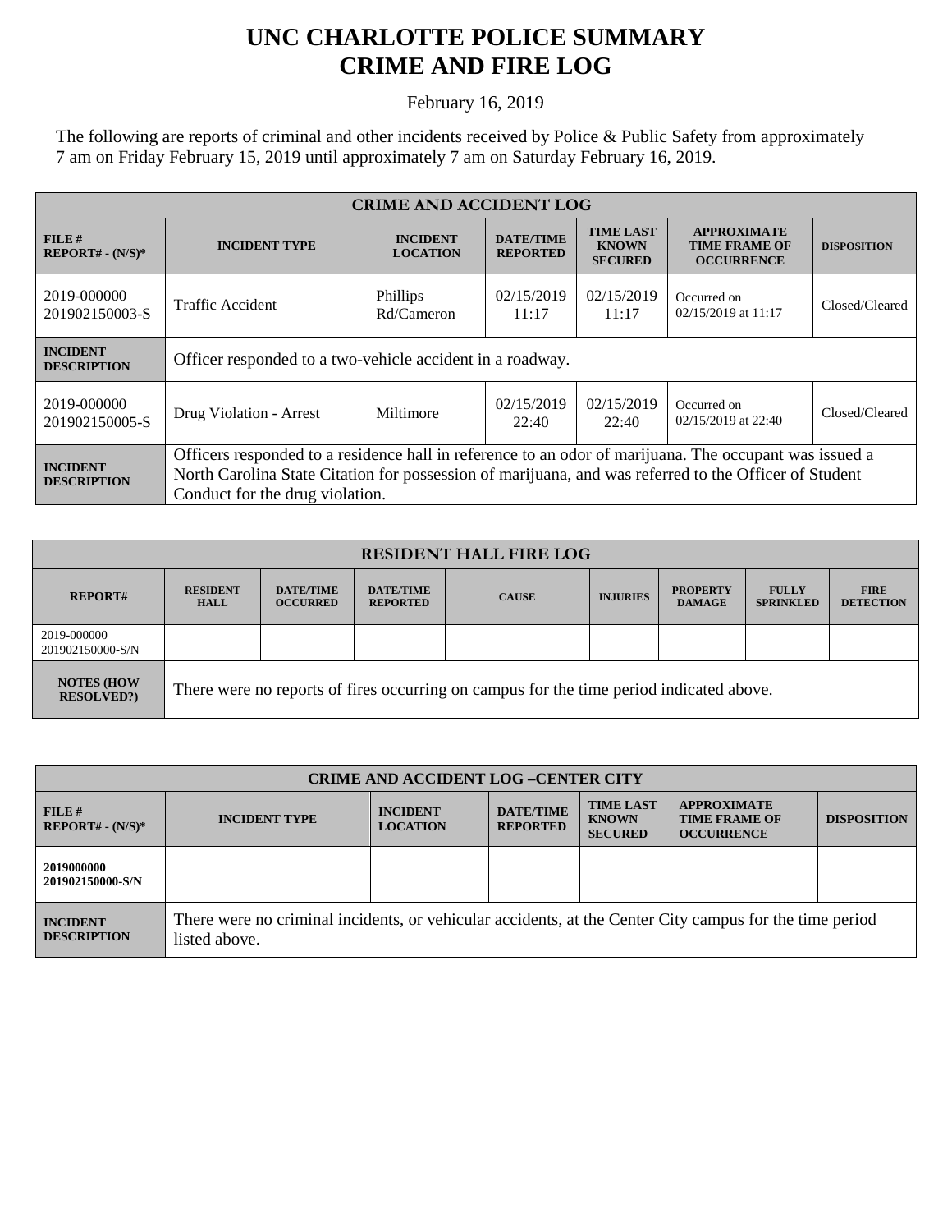## **UNC CHARLOTTE POLICE SUMMARY CRIME AND FIRE LOG**

February 16, 2019

The following are reports of criminal and other incidents received by Police & Public Safety from approximately 7 am on Friday February 15, 2019 until approximately 7 am on Saturday February 16, 2019.

| <b>CRIME AND ACCIDENT LOG</b>         |                                                                                                                                                                                                                                                    |                                    |                                     |                                                    |                                                                 |                    |
|---------------------------------------|----------------------------------------------------------------------------------------------------------------------------------------------------------------------------------------------------------------------------------------------------|------------------------------------|-------------------------------------|----------------------------------------------------|-----------------------------------------------------------------|--------------------|
| FILE#<br>$REPORT# - (N/S)*$           | <b>INCIDENT TYPE</b>                                                                                                                                                                                                                               | <b>INCIDENT</b><br><b>LOCATION</b> | <b>DATE/TIME</b><br><b>REPORTED</b> | <b>TIME LAST</b><br><b>KNOWN</b><br><b>SECURED</b> | <b>APPROXIMATE</b><br><b>TIME FRAME OF</b><br><b>OCCURRENCE</b> | <b>DISPOSITION</b> |
| 2019-000000<br>201902150003-S         | <b>Traffic Accident</b>                                                                                                                                                                                                                            | Phillips<br>Rd/Cameron             | 02/15/2019<br>11:17                 | 02/15/2019<br>11:17                                | Occurred on<br>02/15/2019 at 11:17                              | Closed/Cleared     |
| <b>INCIDENT</b><br><b>DESCRIPTION</b> | Officer responded to a two-vehicle accident in a roadway.                                                                                                                                                                                          |                                    |                                     |                                                    |                                                                 |                    |
| 2019-000000<br>201902150005-S         | Drug Violation - Arrest                                                                                                                                                                                                                            | Miltimore                          | 02/15/2019<br>22:40                 | 02/15/2019<br>22:40                                | Occurred on<br>02/15/2019 at 22:40                              | Closed/Cleared     |
| <b>INCIDENT</b><br><b>DESCRIPTION</b> | Officers responded to a residence hall in reference to an odor of marijuana. The occupant was issued a<br>North Carolina State Citation for possession of marijuana, and was referred to the Officer of Student<br>Conduct for the drug violation. |                                    |                                     |                                                    |                                                                 |                    |

| <b>RESIDENT HALL FIRE LOG</b>         |                                                                                         |                                     |                                     |              |                 |                                  |                                  |                                 |
|---------------------------------------|-----------------------------------------------------------------------------------------|-------------------------------------|-------------------------------------|--------------|-----------------|----------------------------------|----------------------------------|---------------------------------|
| <b>REPORT#</b>                        | <b>RESIDENT</b><br><b>HALL</b>                                                          | <b>DATE/TIME</b><br><b>OCCURRED</b> | <b>DATE/TIME</b><br><b>REPORTED</b> | <b>CAUSE</b> | <b>INJURIES</b> | <b>PROPERTY</b><br><b>DAMAGE</b> | <b>FULLY</b><br><b>SPRINKLED</b> | <b>FIRE</b><br><b>DETECTION</b> |
| 2019-000000<br>201902150000-S/N       |                                                                                         |                                     |                                     |              |                 |                                  |                                  |                                 |
| <b>NOTES (HOW</b><br><b>RESOLVED?</b> | There were no reports of fires occurring on campus for the time period indicated above. |                                     |                                     |              |                 |                                  |                                  |                                 |

| <b>CRIME AND ACCIDENT LOG-CENTER CITY</b> |                                                                                                                          |                                    |                                     |                                                    |                                                                 |                    |
|-------------------------------------------|--------------------------------------------------------------------------------------------------------------------------|------------------------------------|-------------------------------------|----------------------------------------------------|-----------------------------------------------------------------|--------------------|
| $FILE$ #<br>$REPORT# - (N/S)*$            | <b>INCIDENT TYPE</b>                                                                                                     | <b>INCIDENT</b><br><b>LOCATION</b> | <b>DATE/TIME</b><br><b>REPORTED</b> | <b>TIME LAST</b><br><b>KNOWN</b><br><b>SECURED</b> | <b>APPROXIMATE</b><br><b>TIME FRAME OF</b><br><b>OCCURRENCE</b> | <b>DISPOSITION</b> |
| 2019000000<br>201902150000-S/N            |                                                                                                                          |                                    |                                     |                                                    |                                                                 |                    |
| <b>INCIDENT</b><br><b>DESCRIPTION</b>     | There were no criminal incidents, or vehicular accidents, at the Center City campus for the time period<br>listed above. |                                    |                                     |                                                    |                                                                 |                    |